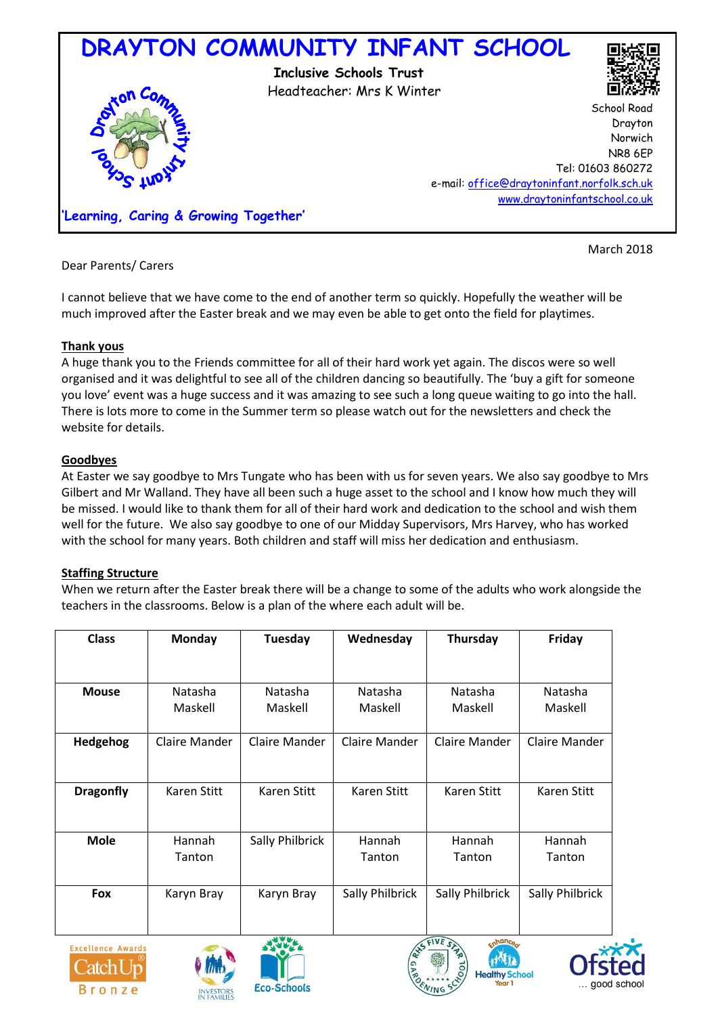

Dear Parents/ Carers

March 2018

I cannot believe that we have come to the end of another term so quickly. Hopefully the weather will be much improved after the Easter break and we may even be able to get onto the field for playtimes.

# **Thank yous**

A huge thank you to the Friends committee for all of their hard work yet again. The discos were so well organised and it was delightful to see all of the children dancing so beautifully. The 'buy a gift for someone you love' event was a huge success and it was amazing to see such a long queue waiting to go into the hall. There is lots more to come in the Summer term so please watch out for the newsletters and check the website for details.

## **Goodbyes**

At Easter we say goodbye to Mrs Tungate who has been with us for seven years. We also say goodbye to Mrs Gilbert and Mr Walland. They have all been such a huge asset to the school and I know how much they will be missed. I would like to thank them for all of their hard work and dedication to the school and wish them well for the future. We also say goodbye to one of our Midday Supervisors, Mrs Harvey, who has worked with the school for many years. Both children and staff will miss her dedication and enthusiasm.

## **Staffing Structure**

When we return after the Easter break there will be a change to some of the adults who work alongside the teachers in the classrooms. Below is a plan of the where each adult will be.

| <b>Class</b>     | Monday        | Tuesday              | Wednesday       | Thursday        | Friday             |
|------------------|---------------|----------------------|-----------------|-----------------|--------------------|
|                  |               |                      |                 |                 |                    |
| <b>Mouse</b>     | Natasha       | Natasha              | Natasha         | Natasha         | Natasha            |
|                  | Maskell       | Maskell              | Maskell         | Maskell         | Maskell            |
| Hedgehog         | Claire Mander | <b>Claire Mander</b> | Claire Mander   | Claire Mander   | Claire Mander      |
|                  |               |                      |                 |                 |                    |
| <b>Dragonfly</b> | Karen Stitt   | Karen Stitt          | Karen Stitt     | Karen Stitt     | <b>Karen Stitt</b> |
|                  |               |                      |                 |                 |                    |
| <b>Mole</b>      | Hannah        | Sally Philbrick      | Hannah          | Hannah          | Hannah             |
|                  | Tanton        |                      | Tanton          | Tanton          | Tanton             |
|                  |               |                      |                 |                 |                    |
| <b>Fox</b>       | Karyn Bray    | Karyn Bray           | Sally Philbrick | Sally Philbrick | Sally Philbrick    |
|                  |               |                      |                 |                 |                    |
|                  |               |                      |                 |                 |                    |